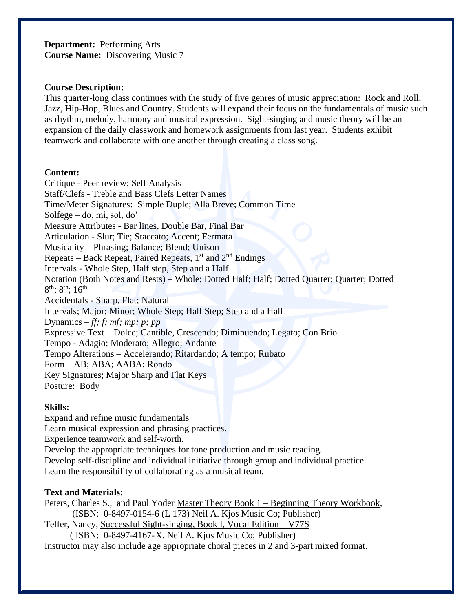**Department:** Performing Arts **Course Name:** Discovering Music 7

#### **Course Description:**

This quarter-long class continues with the study of five genres of music appreciation: Rock and Roll, Jazz, Hip-Hop, Blues and Country. Students will expand their focus on the fundamentals of music such as rhythm, melody, harmony and musical expression. Sight-singing and music theory will be an expansion of the daily classwork and homework assignments from last year. Students exhibit teamwork and collaborate with one another through creating a class song.

#### **Content:**

Critique - Peer review; Self Analysis Staff/Clefs - Treble and Bass Clefs Letter Names Time/Meter Signatures: Simple Duple; Alla Breve; Common Time Solfege – do, mi, sol, do' Measure Attributes - Bar lines, Double Bar, Final Bar Articulation - Slur; Tie; Staccato; Accent; Fermata Musicality – Phrasing; Balance; Blend; Unison Repeats – Back Repeat, Paired Repeats, 1<sup>st</sup> and 2<sup>nd</sup> Endings Intervals - Whole Step, Half step, Step and a Half Notation (Both Notes and Rests) – Whole; Dotted Half; Half; Dotted Quarter; Quarter; Dotted  $8^{\text{th}}$ ;  $8^{\text{th}}$ ;  $16^{\text{th}}$ Accidentals - Sharp, Flat; Natural Intervals; Major; Minor; Whole Step; Half Step; Step and a Half Dynamics *– ff; f; mf; mp; p; pp* Expressive Text – Dolce; Cantible, Crescendo; Diminuendo; Legato; Con Brio Tempo - Adagio; Moderato; Allegro; Andante Tempo Alterations – Accelerando; Ritardando; A tempo; Rubato Form – AB; ABA; AABA; Rondo Key Signatures; Major Sharp and Flat Keys Posture: Body

## **Skills:**

Expand and refine music fundamentals Learn musical expression and phrasing practices. Experience teamwork and self-worth. Develop the appropriate techniques for tone production and music reading. Develop self-discipline and individual initiative through group and individual practice. Learn the responsibility of collaborating as a musical team.

## **Text and Materials:**

Peters, Charles S., and Paul Yoder Master Theory Book 1 – Beginning Theory Workbook, (ISBN: 0-8497-0154-6 (L 173) Neil A. Kjos Music Co; Publisher)

Telfer, Nancy, Successful Sight-singing, Book I, Vocal Edition – V77S ( ISBN: 0-8497-4167-X, Neil A. Kjos Music Co; Publisher)

Instructor may also include age appropriate choral pieces in 2 and 3-part mixed format.